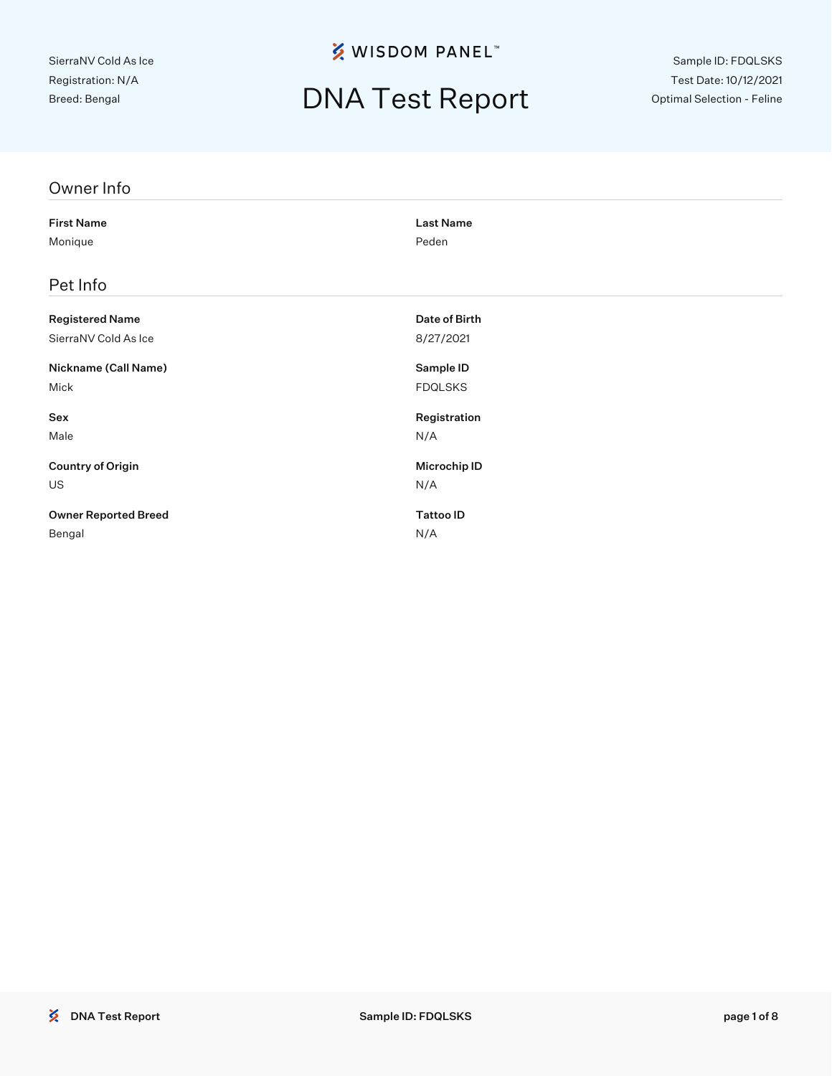## DNA Test Report

Sample ID: FDQLSKS Test Date: 10/12/2021 Optimal Selection - Feline

| Owner Info                  |                  |
|-----------------------------|------------------|
| <b>First Name</b>           | <b>Last Name</b> |
| Monique                     | Peden            |
| Pet Info                    |                  |
| <b>Registered Name</b>      | Date of Birth    |
| SierraNV Cold As Ice        | 8/27/2021        |
| Nickname (Call Name)        | Sample ID        |
| Mick                        | <b>FDQLSKS</b>   |
| Sex                         | Registration     |
| Male                        | N/A              |
| <b>Country of Origin</b>    | Microchip ID     |
| <b>US</b>                   | N/A              |
| <b>Owner Reported Breed</b> | <b>Tattoo ID</b> |
| Bengal                      | N/A              |
|                             |                  |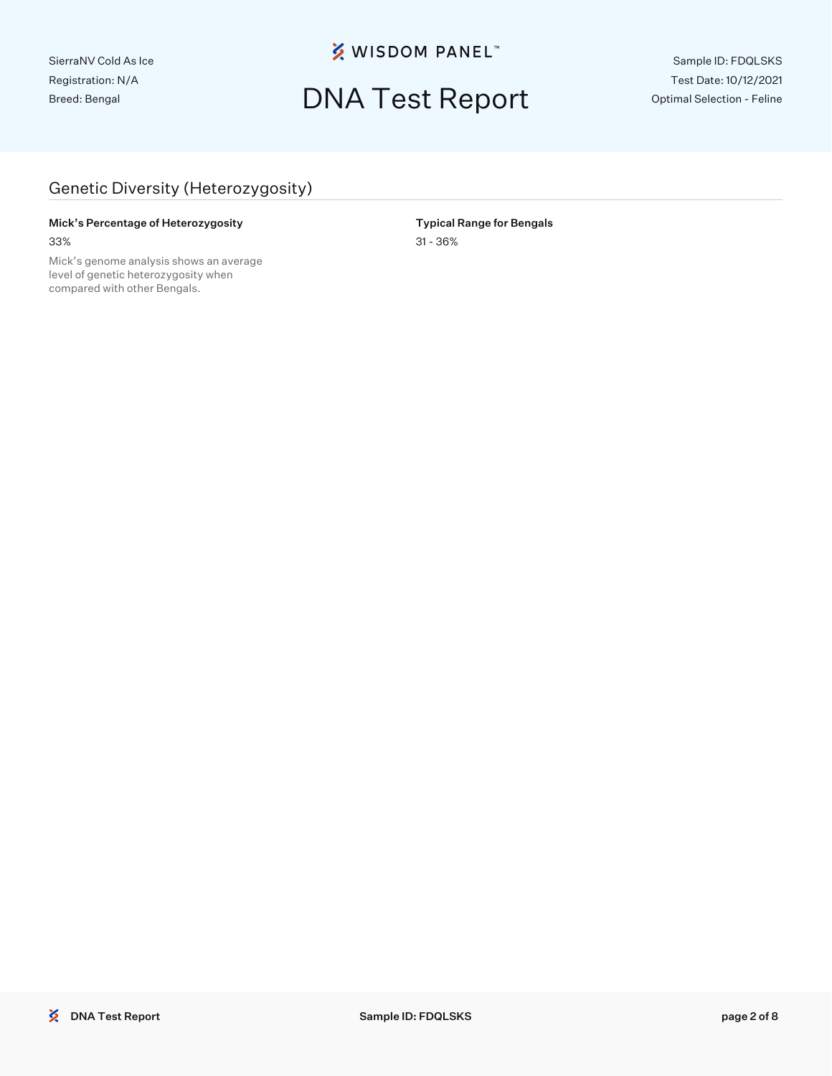## DNA Test Report

Sample ID: FDQLSKS Test Date: 10/12/2021 Optimal Selection - Feline

### Genetic Diversity (Heterozygosity)

### Mick's Percentage of Heterozygosity **Nick** and Typical Range for Bengals

Mick's genome analysis shows an average level of genetic heterozygosity when compared with other Bengals.

33% 31 - 36%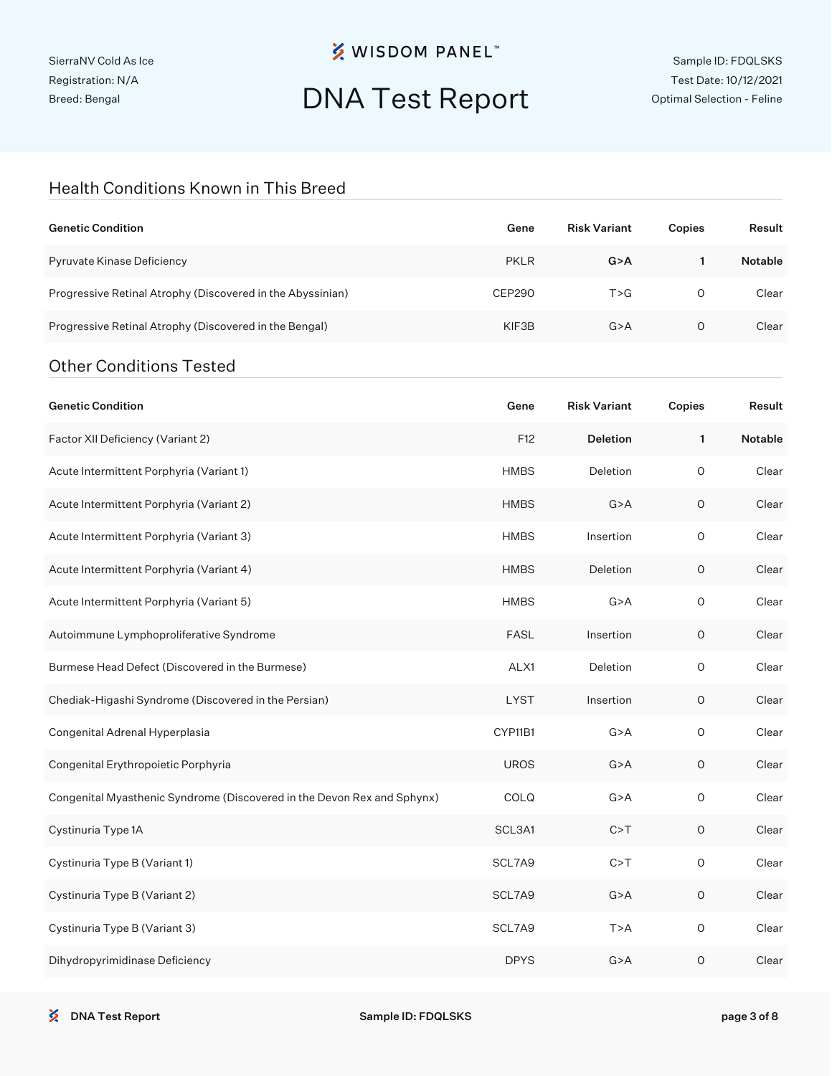SierraNV Cold As Ice Registration: N/A Breed: Bengal

## **※ WISDOM PANEL**™

## DNA Test Report

Sample ID: FDQLSKS Test Date: 10/12/2021 Optimal Selection - Feline

#### Health Conditions Known in This Breed

| <b>Genetic Condition</b>                                                | Gene          | <b>Risk Variant</b> | Copies              | Result         |
|-------------------------------------------------------------------------|---------------|---------------------|---------------------|----------------|
| Pyruvate Kinase Deficiency                                              | <b>PKLR</b>   | G > A               | $\mathbf{1}$        | <b>Notable</b> |
| Progressive Retinal Atrophy (Discovered in the Abyssinian)              | <b>CEP290</b> | T > G               | $\circ$             | Clear          |
| Progressive Retinal Atrophy (Discovered in the Bengal)                  | KIF3B         | G > A               | 0                   | Clear          |
| <b>Other Conditions Tested</b>                                          |               |                     |                     |                |
| <b>Genetic Condition</b>                                                | Gene          | <b>Risk Variant</b> | Copies              | Result         |
| Factor XII Deficiency (Variant 2)                                       | F12           | Deletion            | 1                   | Notable        |
| Acute Intermittent Porphyria (Variant 1)                                | <b>HMBS</b>   | Deletion            | O                   | Clear          |
| Acute Intermittent Porphyria (Variant 2)                                | <b>HMBS</b>   | G > A               | $\mathsf O$         | Clear          |
| Acute Intermittent Porphyria (Variant 3)                                | <b>HMBS</b>   | Insertion           | $\circ$             | Clear          |
| Acute Intermittent Porphyria (Variant 4)                                | <b>HMBS</b>   | Deletion            | 0                   | Clear          |
| Acute Intermittent Porphyria (Variant 5)                                | <b>HMBS</b>   | G > A               | $\circ$             | Clear          |
| Autoimmune Lymphoproliferative Syndrome                                 | <b>FASL</b>   | Insertion           | 0                   | Clear          |
| Burmese Head Defect (Discovered in the Burmese)                         | ALX1          | Deletion            | 0                   | Clear          |
| Chediak-Higashi Syndrome (Discovered in the Persian)                    | <b>LYST</b>   | Insertion           | 0                   | Clear          |
| Congenital Adrenal Hyperplasia                                          | CYP11B1       | G > A               | 0                   | Clear          |
| Congenital Erythropoietic Porphyria                                     | <b>UROS</b>   | G > A               | 0                   | Clear          |
| Congenital Myasthenic Syndrome (Discovered in the Devon Rex and Sphynx) | COLQ          | G > A               | O                   | Clear          |
| Cystinuria Type 1A                                                      | SCL3A1        | C > T               | O                   | Clear          |
| Cystinuria Type B (Variant 1)                                           | SCL7A9        | C > T               | $\hbox{O}$          | Clear          |
| Cystinuria Type B (Variant 2)                                           | SCL7A9        | G > A               | $\mathsf O$         | Clear          |
| Cystinuria Type B (Variant 3)                                           | SCL7A9        | T > A               | $\mathsf{O}\xspace$ | Clear          |
| Dihydropyrimidinase Deficiency                                          | <b>DPYS</b>   | G > A               | $\mathsf O$         | Clear          |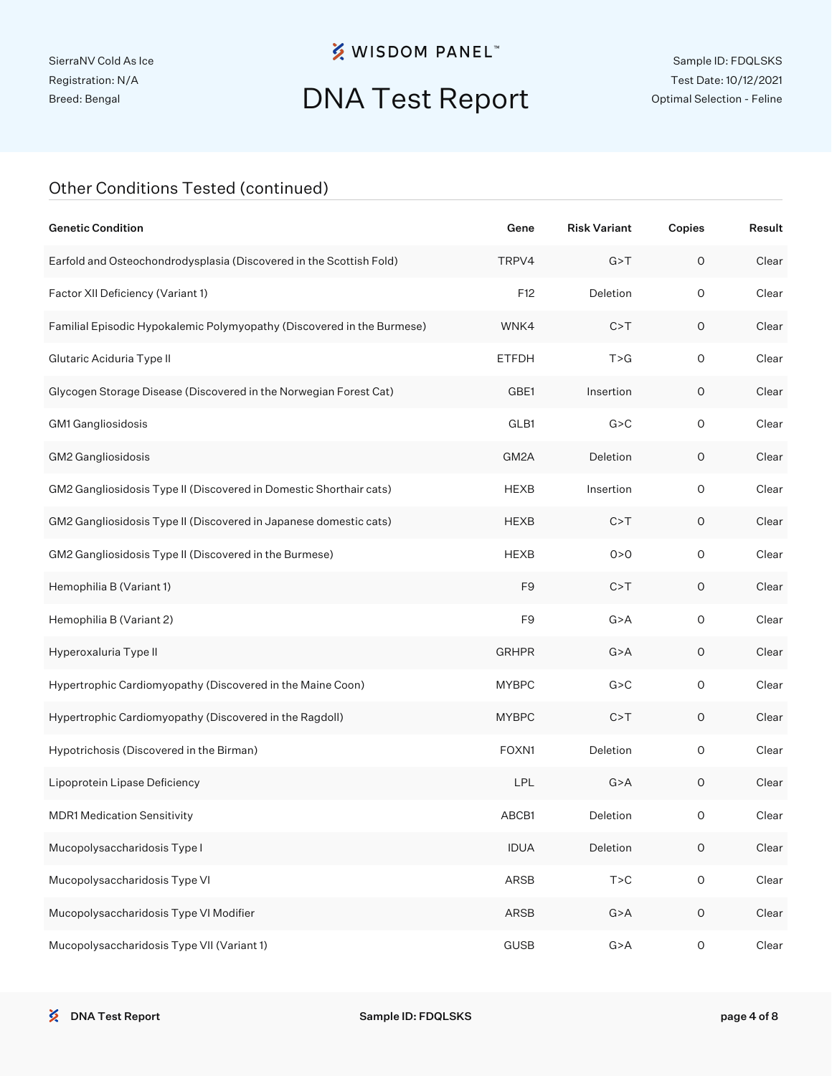# DNA Test Report

#### Other Conditions Tested (continued)

| <b>Genetic Condition</b>                                               | Gene           | <b>Risk Variant</b> | Copies              | Result |
|------------------------------------------------------------------------|----------------|---------------------|---------------------|--------|
| Earfold and Osteochondrodysplasia (Discovered in the Scottish Fold)    | TRPV4          | G > T               | $\circ$             | Clear  |
| Factor XII Deficiency (Variant 1)                                      | F12            | Deletion            | $\circ$             | Clear  |
| Familial Episodic Hypokalemic Polymyopathy (Discovered in the Burmese) | WNK4           | C > T               | $\mathsf O$         | Clear  |
| Glutaric Aciduria Type II                                              | <b>ETFDH</b>   | T > G               | $\circ$             | Clear  |
| Glycogen Storage Disease (Discovered in the Norwegian Forest Cat)      | GBE1           | Insertion           | 0                   | Clear  |
| GM1 Gangliosidosis                                                     | GLB1           | G > C               | $\circ$             | Clear  |
| GM2 Gangliosidosis                                                     | GM2A           | Deletion            | $\mathsf O$         | Clear  |
| GM2 Gangliosidosis Type II (Discovered in Domestic Shorthair cats)     | <b>HEXB</b>    | Insertion           | $\circ$             | Clear  |
| GM2 Gangliosidosis Type II (Discovered in Japanese domestic cats)      | <b>HEXB</b>    | C > T               | $\mathsf O$         | Clear  |
| GM2 Gangliosidosis Type II (Discovered in the Burmese)                 | <b>HEXB</b>    | 0 > 0               | $\circ$             | Clear  |
| Hemophilia B (Variant 1)                                               | F <sub>9</sub> | C > T               | $\mathsf O$         | Clear  |
| Hemophilia B (Variant 2)                                               | F <sub>9</sub> | G > A               | $\mathsf O$         | Clear  |
| Hyperoxaluria Type II                                                  | <b>GRHPR</b>   | G > A               | $\mathsf O$         | Clear  |
| Hypertrophic Cardiomyopathy (Discovered in the Maine Coon)             | <b>MYBPC</b>   | G > C               | $\mathsf O$         | Clear  |
| Hypertrophic Cardiomyopathy (Discovered in the Ragdoll)                | <b>MYBPC</b>   | C > T               | $\mathsf O$         | Clear  |
| Hypotrichosis (Discovered in the Birman)                               | FOXN1          | Deletion            | $\circ$             | Clear  |
| Lipoprotein Lipase Deficiency                                          | <b>LPL</b>     | G > A               | $\mathsf O$         | Clear  |
| <b>MDR1 Medication Sensitivity</b>                                     | ABCB1          | Deletion            | 0                   | Clear  |
| Mucopolysaccharidosis Type I                                           | <b>IDUA</b>    | Deletion            | $\mathsf O$         | Clear  |
| Mucopolysaccharidosis Type VI                                          | ARSB           | T > C               | $\mathsf{O}\xspace$ | Clear  |
| Mucopolysaccharidosis Type VI Modifier                                 | ARSB           | G > A               | $\mathsf O$         | Clear  |
| Mucopolysaccharidosis Type VII (Variant 1)                             | <b>GUSB</b>    | G > A               | $\mathsf O$         | Clear  |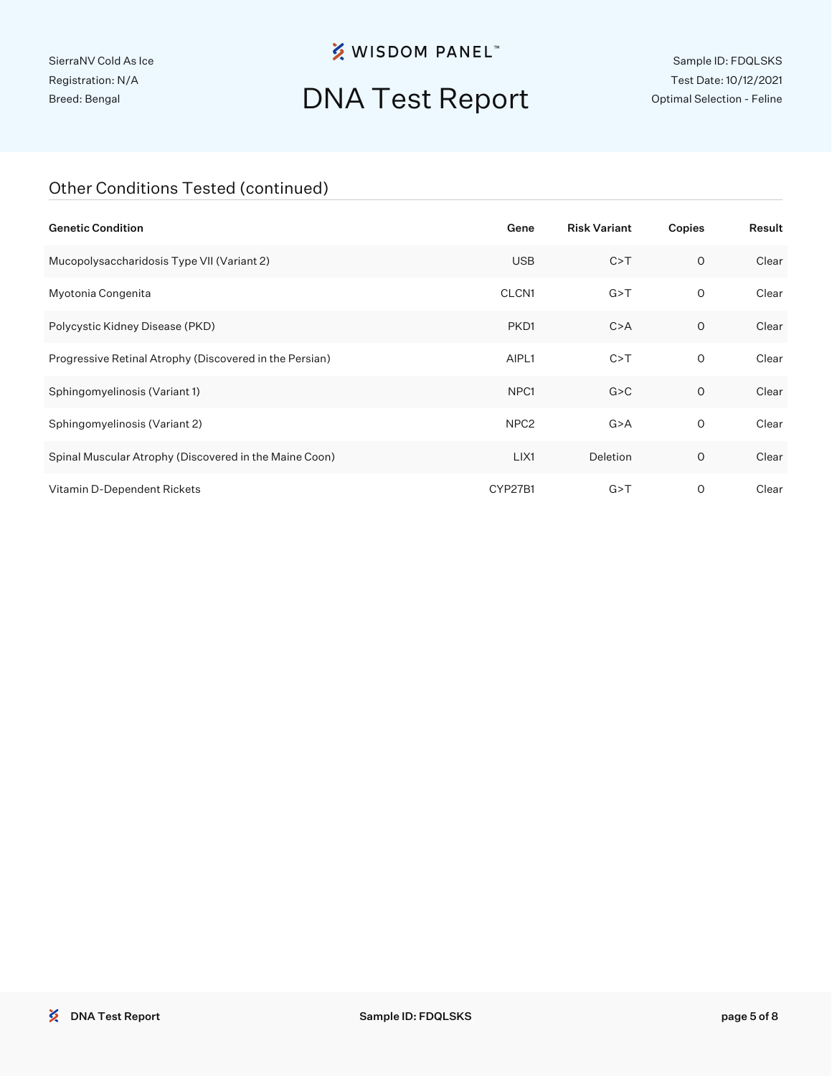SierraNV Cold As Ice Registration: N/A Breed: Bengal

## **※ WISDOM PANEL**™

# DNA Test Report

Sample ID: FDQLSKS Test Date: 10/12/2021 Optimal Selection - Feline

#### Other Conditions Tested (continued)

| <b>Genetic Condition</b>                                | Gene             | <b>Risk Variant</b> | Copies       | Result |
|---------------------------------------------------------|------------------|---------------------|--------------|--------|
| Mucopolysaccharidosis Type VII (Variant 2)              | <b>USB</b>       | C > T               | $\circ$      | Clear  |
| Myotonia Congenita                                      | CLCN1            | G > T               | 0            | Clear  |
| Polycystic Kidney Disease (PKD)                         | PKD1             | C > A               | 0            | Clear  |
| Progressive Retinal Atrophy (Discovered in the Persian) | AIPL1            | C > T               | $\mathsf{O}$ | Clear  |
| Sphingomyelinosis (Variant 1)                           | NPC <sub>1</sub> | G > C               | $\circ$      | Clear  |
| Sphingomyelinosis (Variant 2)                           | NPC <sub>2</sub> | G > A               | 0            | Clear  |
| Spinal Muscular Atrophy (Discovered in the Maine Coon)  | LIX1             | Deletion            | O            | Clear  |
| Vitamin D-Dependent Rickets                             | CYP27B1          | G > T               | O            | Clear  |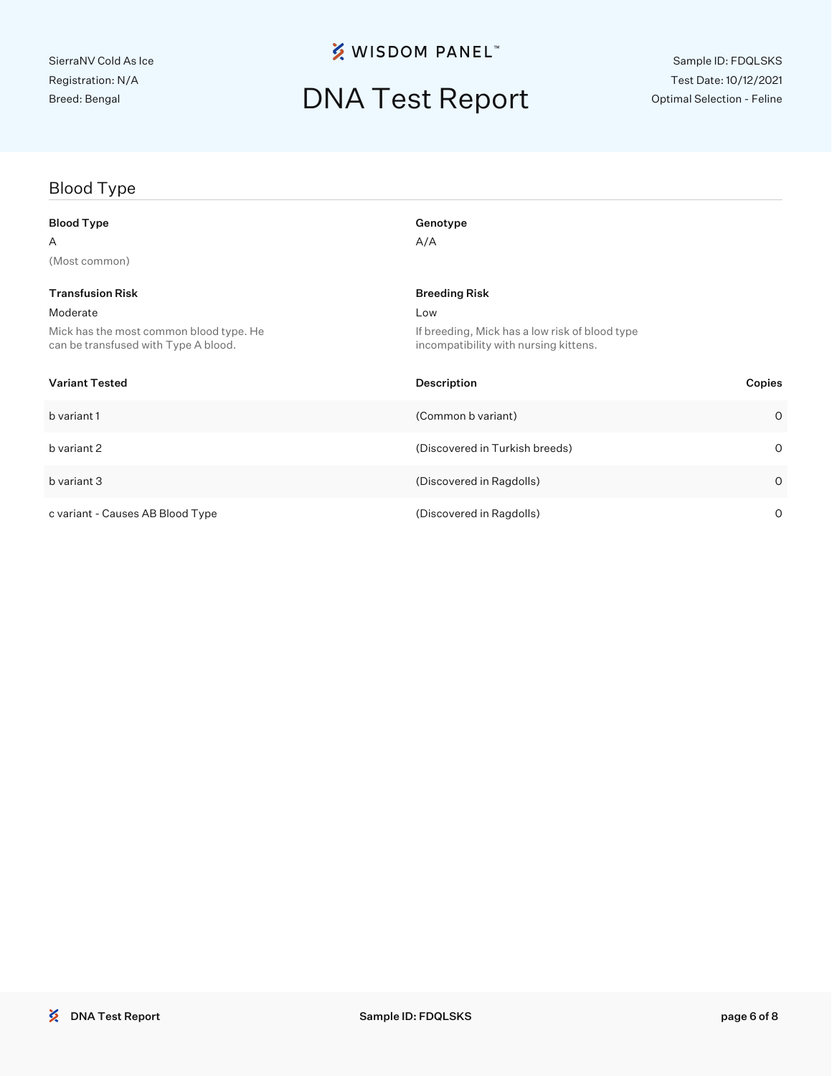## DNA Test Report

## Blood Type Blood Type Genotype Genotype  $A$  and  $A/A$ (Most common) Transfusion Risk Breeding Risk Breeding Risk Moderate Low Mick has the most common blood type. He can be transfused with Type A blood. If breeding, Mick has a low risk of blood type incompatibility with nursing kittens. Variant Tested Description Copies b variant 1 (Common b variant) 0 b variant 2 (Discovered in Turkish breeds) 0 b variant 3 (Discovered in Ragdolls) 0

c variant - Causes AB Blood Type (Discovered in Ragdolls) 0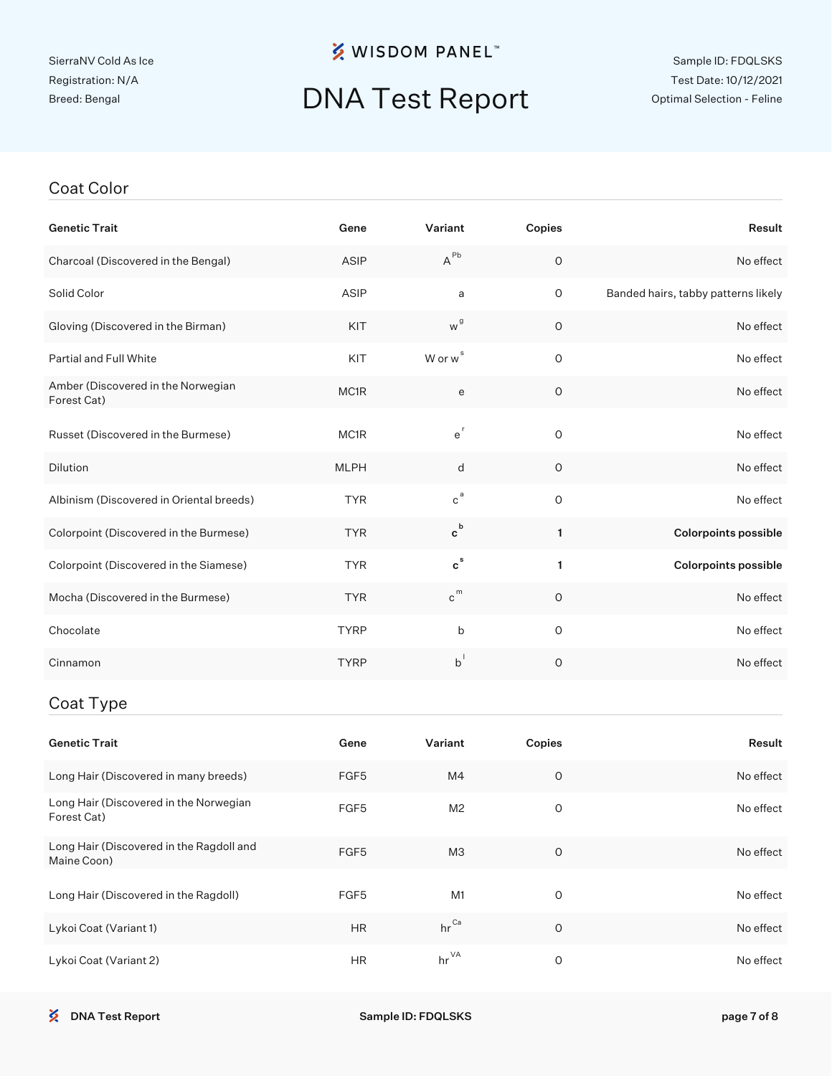## DNA Test Report

#### Coat Color

| <b>Genetic Trait</b>                                    | Gene          | Variant                     | Copies      | Result                              |
|---------------------------------------------------------|---------------|-----------------------------|-------------|-------------------------------------|
| Charcoal (Discovered in the Bengal)                     | ASIP          | $A^{Pb}$                    | $\mathsf O$ | No effect                           |
| Solid Color                                             | ASIP          | a                           | $\mathsf O$ | Banded hairs, tabby patterns likely |
| Gloving (Discovered in the Birman)                      | KIT           | w <sup>g</sup>              | $\mathsf O$ | No effect                           |
| Partial and Full White                                  | KIT           | W or w <sup>s</sup>         | $\mathsf O$ | No effect                           |
| Amber (Discovered in the Norwegian<br>Forest Cat)       | MC1R          | e                           | $\mathsf O$ | No effect                           |
| Russet (Discovered in the Burmese)                      | MC1R          | $e^{r}$                     | O           | No effect                           |
| Dilution                                                | <b>MLPH</b>   | d                           | $\circ$     | No effect                           |
| Albinism (Discovered in Oriental breeds)                | <b>TYR</b>    | $\mathsf{c}^{\,\mathsf{a}}$ | $\mathsf O$ | No effect                           |
| Colorpoint (Discovered in the Burmese)                  | <b>TYR</b>    | $\mathbf{c}^{\,\mathsf{b}}$ | 1           | <b>Colorpoints possible</b>         |
| Colorpoint (Discovered in the Siamese)                  | <b>TYR</b>    | $\mathbf{c}^{\,\mathrm{s}}$ | 1           | <b>Colorpoints possible</b>         |
| Mocha (Discovered in the Burmese)                       | <b>TYR</b>    | $c^{m}$                     | $\circ$     | No effect                           |
| Chocolate                                               | <b>TYRP</b>   | b                           | O           | No effect                           |
| Cinnamon                                                | <b>TYRP</b>   | $b^{\dagger}$               | $\circ$     | No effect                           |
| Coat Type                                               |               |                             |             |                                     |
| <b>Genetic Trait</b>                                    | Gene          | Variant                     | Copies      | Result                              |
| Long Hair (Discovered in many breeds)                   | FGF5          | M4                          | $\mathsf O$ | No effect                           |
| Long Hair (Discovered in the Norwegian<br>Forest Cat)   | FGF5          | M <sub>2</sub>              | $\mathsf O$ | No effect                           |
| Long Hair (Discovered in the Ragdoll and<br>Maine Coon) | FGF5          | МЗ                          | $\mathsf O$ | No effect                           |
| Long Hair (Discovered in the Ragdoll)                   | FGF5          | M1                          | $\mathsf O$ | No effect                           |
| Lykoi Coat (Variant 1)                                  | $\mathsf{HR}$ | $hr^{\text{Ca}}$            | $\mathsf O$ | No effect                           |

Lykoi Coat (Variant 2) **HR** hr<sup>VA</sup> 0 0 No effect